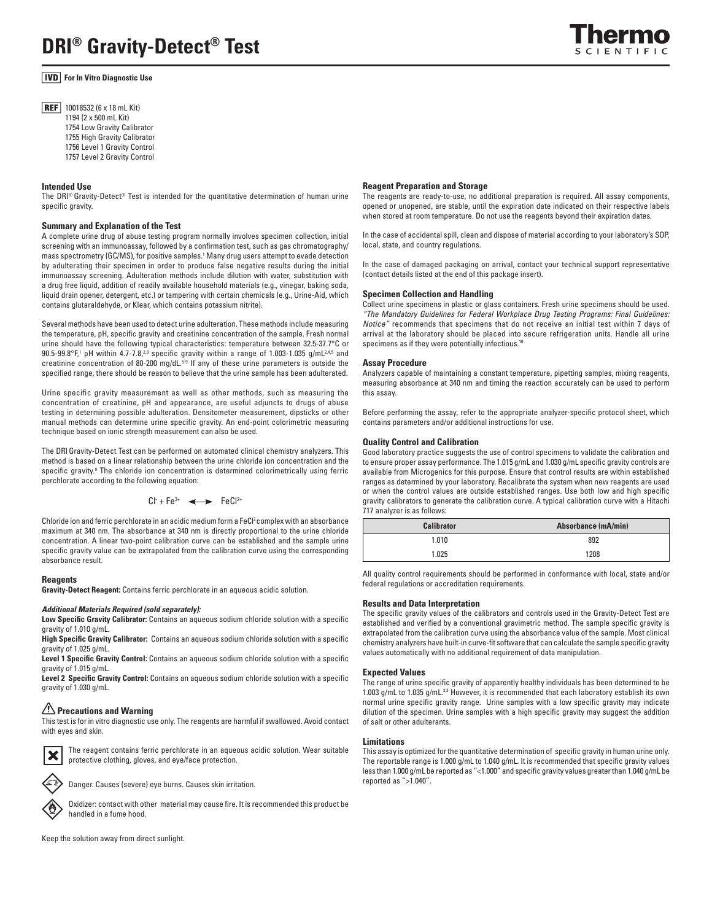# **For In Vitro Diagnostic Use**

**REF** 10018532 (6 x 18 mL Kit) 1194 (2 x 500 mL Kit) 1754 Low Gravity Calibrator 1755 High Gravity Calibrator 1756 Level 1 Gravity Control 1757 Level 2 Gravity Control

## **Intended Use**

The DRI<sup>®</sup> Gravity-Detect<sup>®</sup> Test is intended for the quantitative determination of human urine specific gravity.

## **Summary and Explanation of the Test**

A complete urine drug of abuse testing program normally involves specimen collection, initial screening with an immunoassay, followed by a confirmation test, such as gas chromatography/ mass spectrometry (GC/MS), for positive samples.1 Many drug users attempt to evade detection by adulterating their specimen in order to produce false negative results during the initial immunoassay screening. Adulteration methods include dilution with water, substitution with a drug free liquid, addition of readily available household materials (e.g., vinegar, baking soda, liquid drain opener, detergent, etc.) or tampering with certain chemicals (e.g., Urine-Aid, which contains glutaraldehyde, or Klear, which contains potassium nitrite).

Several methods have been used to detect urine adulteration. These methods include measuring the temperature, pH, specific gravity and creatinine concentration of the sample. Fresh normal urine should have the following typical characteristics: temperature between 32.5-37.7°C or  $90.5$ - $99.8$ °F,<sup>1</sup> pH within 4.7-7.8,<sup>2,3</sup> specific gravity within a range of 1.003-1.035 g/mL<sup>2,4,5</sup> and creatinine concentration of 80-200 mg/dL.5-9 If any of these urine parameters is outside the specified range, there should be reason to believe that the urine sample has been adulterated.

Urine specific gravity measurement as well as other methods, such as measuring the concentration of creatinine, pH and appearance, are useful adjuncts to drugs of abuse testing in determining possible adulteration. Densitometer measurement, dipsticks or other manual methods can determine urine specific gravity. An end-point colorimetric measuring technique based on ionic strength measurement can also be used.

The DRIGravity-Detect Test can be performed on automated clinical chemistry analyzers. This method is based on a linear relationship between the urine chloride ion concentration and the specific gravity.<sup>9</sup> The chloride ion concentration is determined colorimetrically using ferric perchlorate according to the following equation:

$$
Cl^+ + Fe^{3+} \quad \Longleftrightarrow \quad FeCl^{2+}
$$

Chloride ion and ferric perchlorate in an acidic medium form a FeCl<sup>2</sup> complex with an absorbance maximum at 340 nm. The absorbance at 340 nm is directly proportional to the urine chloride concentration. A linear two-point calibration curve can be established and the sample urine specific gravity value can be extrapolated from the calibration curve using the corresponding absorbance result.

## **Reagents**

**Gravity-Detect Reagent:** Contains ferric perchlorate in an aqueous acidic solution.

#### *Additional Materials Required (sold separately):*

**Low Specific Gravity Calibrator:** Contains an aqueous sodium chloride solution with a specific gravity of 1.010 g/mL.

**High Specific Gravity Calibrator:** Contains an aqueous sodium chloride solution with a specific gravity of 1.025 g/mL.

**Level 1 Specific Gravity Control:** Contains an aqueous sodium chloride solution with a specific gravity of 1.015 g/mL.

**Level 2 Specific Gravity Control:** Contains an aqueous sodium chloride solution with a specific gravity of 1.030 g/mL.

# **Precautions and Warning**

This test is for in vitro diagnostic use only. The reagents are harmful if swallowed. Avoid contact with eyes and skin.



The reagent contains ferric perchlorate in an aqueous acidic solution. Wear suitable protective clothing, gloves, and eye/face protection.



Danger. Causes (severe) eye burns. Causes skin irritation.

Oxidizer: contact with other material may cause fire. It is recommended this product be handled in a fume hood.

# Keep the solution away from direct sunlight.

### **Reagent Preparation and Storage**

The reagents are ready-to-use, no additional preparation is required. All assay components, opened or unopened, are stable, until the expiration date indicated on their respective labels when stored at room temperature. Do not use the reagents beyond their expiration dates.

In the case of accidental spill, clean and dispose of material according to your laboratory's SOP, local, state, and country regulations.

In the case of damaged packaging on arrival, contact your technical support representative (contact details listed at the end of this package insert).

## **Specimen Collection and Handling**

Collect urine specimens in plastic or glass containers. Fresh urine specimens should be used. *"The Mandatory Guidelines for Federal Workplace Drug Testing Programs: Final Guidelines: Notice"* recommends that specimens that do not receive an initial test within 7 days of arrival at the laboratory should be placed into secure refrigeration units. Handle all urine specimens as if they were potentially infectious.<sup>10</sup>

#### **Assay Procedure**

Analyzers capable of maintaining a constant temperature, pipetting samples, mixing reagents, measuring absorbance at 340 nm and timing the reaction accurately can be used to perform this assay.

Before performing the assay, refer to the appropriate analyzer-specific protocol sheet, which contains parameters and/or additional instructions for use.

## **Quality Control and Calibration**

Good laboratory practice suggests the use of control specimens to validate the calibration and to ensure proper assay performance. The 1.015 g/mL and 1.030 g/mL specific gravity controls are available from Microgenics for this purpose. Ensure that control results are within established ranges as determined by your laboratory. Recalibrate the system when new reagents are used or when the control values are outside established ranges. Use both low and high specific gravity calibrators to generate the calibration curve. A typical calibration curve with a Hitachi 717 analyzer is as follows:

| <b>Calibrator</b> | Absorbance (mA/min) |  |
|-------------------|---------------------|--|
| 1.010             | 892                 |  |
| 1.025             | 1208                |  |

All quality control requirements should be performed in conformance with local, state and/or federal regulations or accreditation requirements.

#### **Results and Data Interpretation**

The specific gravity values of the calibrators and controls used in the Gravity-Detect Test are established and verified by a conventional gravimetric method. The sample specific gravity is extrapolated from the calibration curve using the absorbance value of the sample. Most clinical chemistry analyzers have built-in curve-fit software that can calculate the sample specific gravity values automatically with no additional requirement of data manipulation.

## **Expected Values**

The range of urine specific gravity of apparently healthy individuals has been determined to be 1.003 g/mL to 1.035 g/mL.<sup>2,3</sup> However, it is recommended that each laboratory establish its own normal urine specific gravity range. Urine samples with a low specific gravity may indicate dilution of the specimen. Urine samples with a high specific gravity may suggest the addition of salt or other adulterants.

### **Limitations**

This assay is optimized for the quantitative determination of specific gravity in human urine only. The reportable range is 1.000 g/mL to 1.040 g/mL. It is recommended that specific gravity values less than 1.000 g/mL be reported as "<1.000" and specific gravity values greater than 1.040 g/mL be reported as ">1.040".